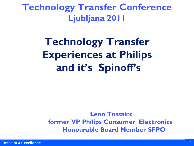**Technology Transfer Conference Ljubljana 2011**

# **Technology Transfer Experiences at Philips and it's Spinoff's**

 **Leon Tossaint former VP Philips Consumer Electronics Honourable Board Member SFPO**

**Tossaint 4 Excellence**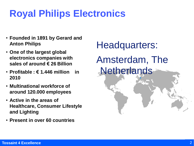# **Royal Philips Electronics**

- **Founded in 1891 by Gerard and Anton Philips**
- **One of the largest global electronics companies with sales of around € 26 Billion**
- **Profitable : € 1.446 million in 2010**
- **Multinational workforce of around 120.000 employees**
- **Active in the areas of Healthcare, Consumer Lifestyle and Lighting**
- **Present in over 60 countries**

Headquarters: Amsterdam, The **Netherlands**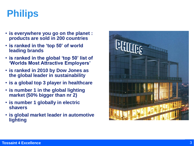# **Philips**

- **is everywhere you go on the planet : products are sold in 200 countries**
- **is ranked in the 'top 50' of world leading brands**
- **is ranked in the global 'top 50' list of 'Worlds Most Attractive Employers'**
- **is ranked in 2010 by Dow Jones as the global leader in sustainability**
- **is a global top 3 player in healthcare**
- **is number 1 in the global lighting market (50% bigger than nr 2)**
- **is number 1 globally in electric shavers**
- **is global market leader in automotive lighting**

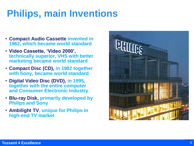# **Philips, main Inventions**

- **Compact Audio Cassette invented in 1962, which became world standard**
- **Video Cassette, 'Video 2000', technically superior, VHS with better marketing became world standard**
- **Compact Disc (CD), in 1982 together with Sony, became world standard**
- **Digital Video Disc (DVD), in 1995, together with the entire computer and Consumer Electronic Industry**
- **Blu-ray Disk, primarily developed by Philips and Sony**
- **Ambilight TV, unique for Philips in high-end TV market**

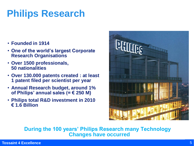# **Philips Research**

- **Founded in 1914**
- **One of the world's largest Corporate Research Organisations**
- **Over 1500 professionals, 50 nationalities**
- **Over 130.000 patents created : at least 1 patent filed per scientist per year**
- **Annual Research budget, around 1% of Philips' annual sales (= € 250 M)**
- **Philips total R&D investment in 2010 € 1.6 Billion**



**During the 100 years' Philips Research many Technology Changes have occurred**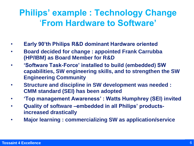## **Philips' example : Technology Change** '**From Hardware to Software'**

- **Early 90'th Philips R&D dominant Hardware oriented**
- **Board decided for change : appointed Frank Carrubba (HP/IBM) as Board Member for R&D**
- **'Software Task-Force' installed to build (embedded) SW capabilities, SW engineering skills, and to strengthen the SW Engineering Community**
- **Structure and discipline in SW development was needed : CMM standard (SEI) has been adopted**
- **'Top management Awareness' : Watts Humphrey (SEI) invited**
- **Quality of software –embedded in all Philips' productsincreased drastically**
- **Major learning : commercializing SW as application/service**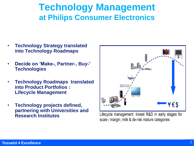### **Technology Management at Philips Consumer Electronics**

- **Technology Strategy translated into Technology Roadmaps**
- **Decide on 'Make-, Partner-, Buy-' Technologies**
- **Technology Roadmaps translated into Product Portfolios : Lifecycle Management**
- **Technology projects defined, partnering with Universities and Research Institutes**



Lifecycle management: Invest R&D in early stages for scale / margin; milk & de-risk mature categories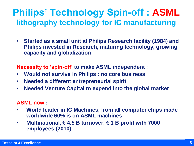## **Philips' Technology Spin-off : ASML lithography technology for IC manufacturing**

• **Started as a small unit at Philips Research facility (1984) and Philips invested in Research, maturing technology, growing capacity and globalization**

**Necessity to 'spin-off' to make ASML independent :**

- **Would not survive in Philips : no core business**
- **Needed a different entrepreneurial spirit**
- **Needed Venture Capital to expend into the global market**

#### **ASML now :**

- **World leader in IC Machines, from all computer chips made worldwide 60% is on ASML machines**
- **Multinational, € 4.5 B turnover, € 1 B profit with 7000 employees (2010)**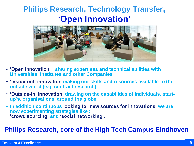### **Philips Research, Technology Transfer, 'Open Innovation'**



- **'Open Innovation' : sharing expertises and technical abilities with Universities, Institutes and other Companies**
- **'Inside-out' innovation making our skills and resources available to the outside world (e.g. contract research)**
- **'Outside-in' innovation, drawing on the capabilities of individuals, startup's, organisations, around the globe**
- **In addition continuous looking for new sources for innovations, we are now experimenting strategies like : 'crowd sourcing' and 'social networking'.**

#### **Philips Research, core of the High Tech Campus Eindhoven**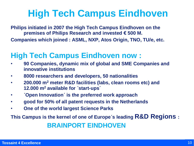## **High Tech Campus Eindhoven**

**Philips initiated in 2007 the High Tech Campus Eindhoven on the premises of Philips Research and invested € 500 M. Companies which joined : ASML, NXP, Atos Origin, TNO, TU/e, etc.**

#### **High Tech Campus Eindhoven now :**

- **90 Companies, dynamic mix of global and SME Companies and innovative institutions**
- **8000 researchers and developers, 50 nationalities**
- **200.000 m<sup>2</sup> meter R&D facilities (labs, clean rooms etc) and 12.000 m<sup>2</sup> available for ´start-ups´**
- **´Open Innovation´ is the preferred work approach**
- **good for 50% of all patent requests in the Netherlands**
- **One of the world largest Science Parks**

**This Campus is the kernel of one of Europe´s leading R&D Regions : BRAINPORT EINDHOVEN**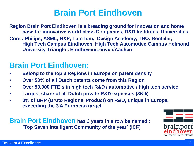#### **Brain Port Eindhoven**

**Region Brain Port Eindhoven is a breading ground for Innovation and home base for innovative world-class Companies, R&D Institutes, Universities, Core : Philips, ASML, NXP, TomTom, Design Academy, TNO, Benteler, High Tech Campus Eindhoven, High Tech Automotive Campus Helmond University Triangle : Eindhoven/Leuven/Aachen**

#### **Brain Port Eindhoven:**

- **Belong to the top 3 Regions in Europe on patent density**
- **Over 50% of all Dutch patents come from this Region**
- **Over 50.000 FTE´s in high tech R&D / automotive / high tech service**
- **Largest share of all Dutch private R&D expenses (36%)**
- **8% of BRP (Bruto Regional Product) on R&D, unique in Europe, exceeding the 3% European target**

**Brain Port Eindhoven** has 3 years in a row be named : **´Top Seven Intelligent Community of the year´ (ICF)**

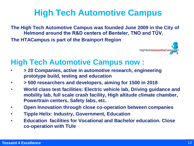## **High Tech Automotive Campus**

**The High Tech Automotive Campus was founded June 2009 in the City of Helmond around the R&D centers of Benteler, TNO and TÜV.** 

**The HTACampus is part of the Brainport Region**



#### **High Tech Automotive Campus now :**

- **> 20 Companies, active in automotive research, engineering prototype build, testing and education**
- **> 500 researchers and developers, aiming for 1500 in 2018**
- **World class test facilities: Electric vehicle lab, Driving guidance and mobility lab, full scale crash facility, High altitude climate chamber, Powertrain centers, Safety labs, etc.**
- **Open Innovation through close co-operation between companies**
- **Tipple Helix: Industry, Government, Education**
- **Education facilities for Vocational and Bachelor education. Close co-operation with TU/e**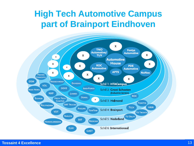### **High Tech Automotive Campus part of Brainport Eindhoven**

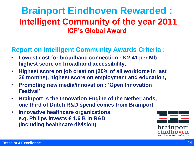### **Brainport Eindhoven Rewarded : Intelligent Community of the year 2011 ICF's Global Award**

#### **Report on Intelligent Community Awards Criteria :**

- **Lowest cost for broadband connection : \$ 2.41 per Mb highest score on broadband accessibility,**
- **Highest score on job creation (20% of all workforce in last 36 months), highest score on employment and education,**
- **Promoting new media/innovation : 'Open Innovation Festival'**
- **Brainport is the Innovation Engine of the Netherlands, one third of Dutch R&D spend comes from Brainport.**
- **Innovative healthcare organizations, e.g. Philips invests € 1.6 B in R&D (including healthcare division)**

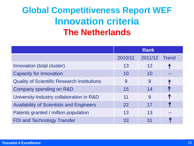## **Global Competitiveness Report WEF Innovation criteria The Netherlands**

|                                                    | <b>Rank</b> |         |              |
|----------------------------------------------------|-------------|---------|--------------|
|                                                    | 2010/11     | 2011/12 | <b>Trend</b> |
| Innovation (total cluster)                         | 13          | 12      |              |
| <b>Capacity for Innovation</b>                     | 10          | 10      |              |
| <b>Quality of Scientific Research Institutions</b> | 9           | 8       | $\sqrt{2}$   |
| Company spending on R&D                            | 15          | 14      |              |
| University-Industry collaboration in R&D           | 11          | 8       |              |
| <b>Availability of Scientists and Engineers</b>    | 22          | 17      | $\sqrt{N}$   |
| Patents granted / million population               | 13          | 13      |              |
| <b>FDI and Technology Transfer</b>                 | 33          | 31      |              |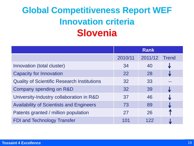## **Global Competitiveness Report WEF Innovation criteria Slovenia**

|                                                    | <b>Rank</b> |         |              |
|----------------------------------------------------|-------------|---------|--------------|
|                                                    | 2010/11     | 2011/12 | <b>Trend</b> |
| Innovation (total cluster)                         | 34          | 40      |              |
| <b>Capacity for Innovation</b>                     | 22          | 28      | Al.          |
| <b>Quality of Scientific Research Institutions</b> | 32          | 33      |              |
| Company spending on R&D                            | 32          | 39      | J            |
| University-Industry collaboration in R&D           | 37          | 46      |              |
| <b>Availability of Scientists and Engineers</b>    | 73          | 89      |              |
| Patents granted / million population               | 27          | 26      |              |
| <b>FDI and Technology Transfer</b>                 | 101         | 122     |              |